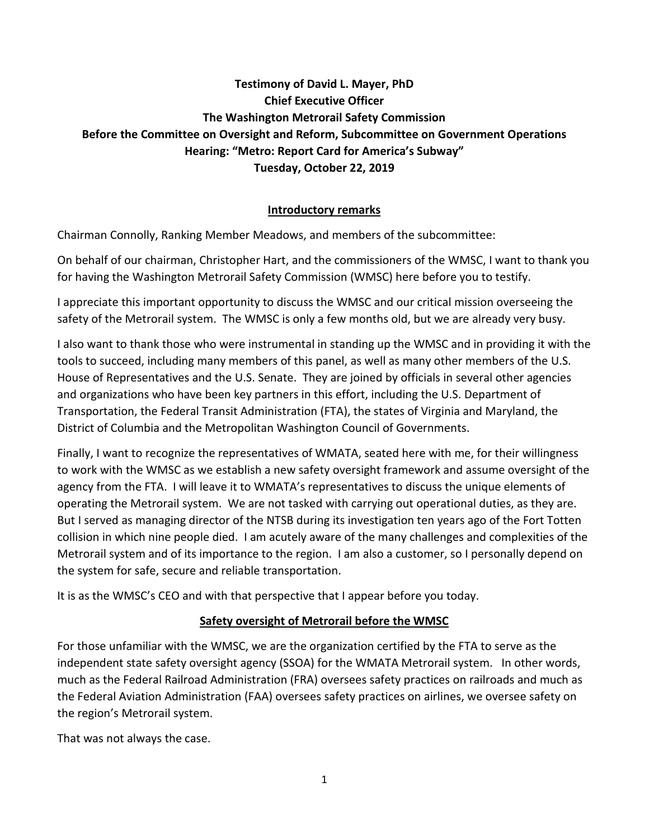# **Testimony of David L. Mayer, PhD Chief Executive Officer The Washington Metrorail Safety Commission Before the Committee on Oversight and Reform, Subcommittee on Government Operations Hearing: "Metro: Report Card for America's Subway" Tuesday, October 22, 2019**

## **Introductory remarks**

Chairman Connolly, Ranking Member Meadows, and members of the subcommittee:

On behalf of our chairman, Christopher Hart, and the commissioners of the WMSC, I want to thank you for having the Washington Metrorail Safety Commission (WMSC) here before you to testify.

I appreciate this important opportunity to discuss the WMSC and our critical mission overseeing the safety of the Metrorail system. The WMSC is only a few months old, but we are already very busy.

I also want to thank those who were instrumental in standing up the WMSC and in providing it with the tools to succeed, including many members of this panel, as well as many other members of the U.S. House of Representatives and the U.S. Senate. They are joined by officials in several other agencies and organizations who have been key partners in this effort, including the U.S. Department of Transportation, the Federal Transit Administration (FTA), the states of Virginia and Maryland, the District of Columbia and the Metropolitan Washington Council of Governments.

Finally, I want to recognize the representatives of WMATA, seated here with me, for their willingness to work with the WMSC as we establish a new safety oversight framework and assume oversight of the agency from the FTA. I will leave it to WMATA's representatives to discuss the unique elements of operating the Metrorail system. We are not tasked with carrying out operational duties, as they are. But I served as managing director of the NTSB during its investigation ten years ago of the Fort Totten collision in which nine people died. I am acutely aware of the many challenges and complexities of the Metrorail system and of its importance to the region. I am also a customer, so I personally depend on the system for safe, secure and reliable transportation.

It is as the WMSC's CEO and with that perspective that I appear before you today.

### **Safety oversight of Metrorail before the WMSC**

For those unfamiliar with the WMSC, we are the organization certified by the FTA to serve as the independent state safety oversight agency (SSOA) for the WMATA Metrorail system. In other words, much as the Federal Railroad Administration (FRA) oversees safety practices on railroads and much as the Federal Aviation Administration (FAA) oversees safety practices on airlines, we oversee safety on the region's Metrorail system.

That was not always the case.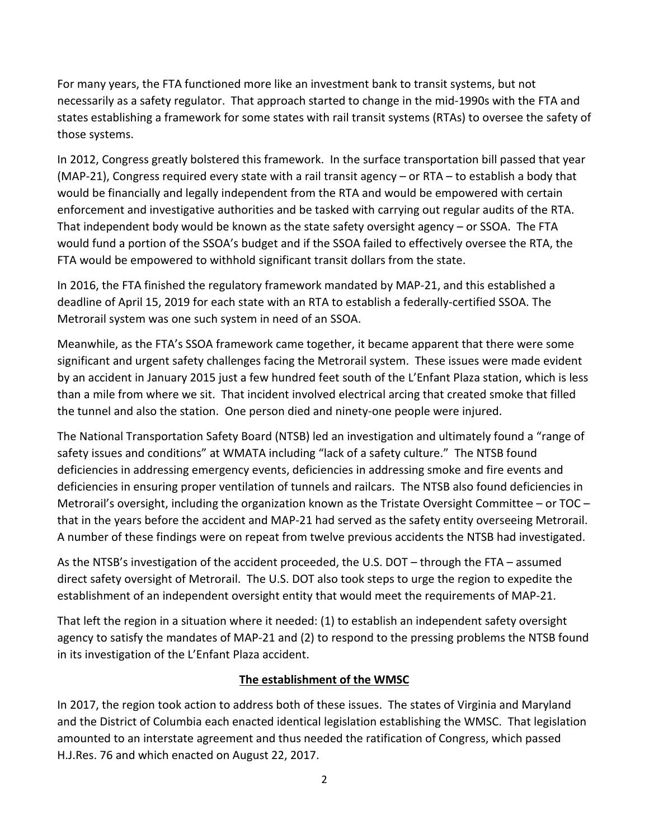For many years, the FTA functioned more like an investment bank to transit systems, but not necessarily as a safety regulator. That approach started to change in the mid-1990s with the FTA and states establishing a framework for some states with rail transit systems (RTAs) to oversee the safety of those systems.

In 2012, Congress greatly bolstered this framework. In the surface transportation bill passed that year (MAP-21), Congress required every state with a rail transit agency – or RTA – to establish a body that would be financially and legally independent from the RTA and would be empowered with certain enforcement and investigative authorities and be tasked with carrying out regular audits of the RTA. That independent body would be known as the state safety oversight agency – or SSOA. The FTA would fund a portion of the SSOA's budget and if the SSOA failed to effectively oversee the RTA, the FTA would be empowered to withhold significant transit dollars from the state.

In 2016, the FTA finished the regulatory framework mandated by MAP-21, and this established a deadline of April 15, 2019 for each state with an RTA to establish a federally-certified SSOA. The Metrorail system was one such system in need of an SSOA.

Meanwhile, as the FTA's SSOA framework came together, it became apparent that there were some significant and urgent safety challenges facing the Metrorail system. These issues were made evident by an accident in January 2015 just a few hundred feet south of the L'Enfant Plaza station, which is less than a mile from where we sit. That incident involved electrical arcing that created smoke that filled the tunnel and also the station. One person died and ninety-one people were injured.

The National Transportation Safety Board (NTSB) led an investigation and ultimately found a "range of safety issues and conditions" at WMATA including "lack of a safety culture." The NTSB found deficiencies in addressing emergency events, deficiencies in addressing smoke and fire events and deficiencies in ensuring proper ventilation of tunnels and railcars. The NTSB also found deficiencies in Metrorail's oversight, including the organization known as the Tristate Oversight Committee – or TOC – that in the years before the accident and MAP-21 had served as the safety entity overseeing Metrorail. A number of these findings were on repeat from twelve previous accidents the NTSB had investigated.

As the NTSB's investigation of the accident proceeded, the U.S. DOT – through the FTA – assumed direct safety oversight of Metrorail. The U.S. DOT also took steps to urge the region to expedite the establishment of an independent oversight entity that would meet the requirements of MAP-21.

That left the region in a situation where it needed: (1) to establish an independent safety oversight agency to satisfy the mandates of MAP-21 and (2) to respond to the pressing problems the NTSB found in its investigation of the L'Enfant Plaza accident.

# **The establishment of the WMSC**

In 2017, the region took action to address both of these issues. The states of Virginia and Maryland and the District of Columbia each enacted identical legislation establishing the WMSC. That legislation amounted to an interstate agreement and thus needed the ratification of Congress, which passed H.J.Res. 76 and which enacted on August 22, 2017.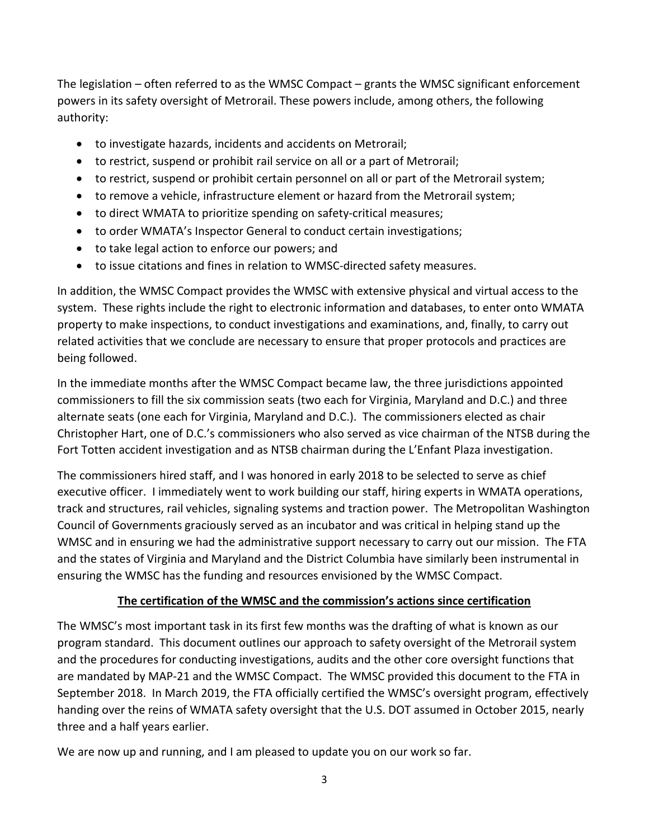The legislation – often referred to as the WMSC Compact – grants the WMSC significant enforcement powers in its safety oversight of Metrorail. These powers include, among others, the following authority:

- to investigate hazards, incidents and accidents on Metrorail;
- to restrict, suspend or prohibit rail service on all or a part of Metrorail;
- to restrict, suspend or prohibit certain personnel on all or part of the Metrorail system;
- to remove a vehicle, infrastructure element or hazard from the Metrorail system;
- to direct WMATA to prioritize spending on safety-critical measures;
- to order WMATA's Inspector General to conduct certain investigations;
- to take legal action to enforce our powers; and
- to issue citations and fines in relation to WMSC-directed safety measures.

In addition, the WMSC Compact provides the WMSC with extensive physical and virtual access to the system. These rights include the right to electronic information and databases, to enter onto WMATA property to make inspections, to conduct investigations and examinations, and, finally, to carry out related activities that we conclude are necessary to ensure that proper protocols and practices are being followed.

In the immediate months after the WMSC Compact became law, the three jurisdictions appointed commissioners to fill the six commission seats (two each for Virginia, Maryland and D.C.) and three alternate seats (one each for Virginia, Maryland and D.C.). The commissioners elected as chair Christopher Hart, one of D.C.'s commissioners who also served as vice chairman of the NTSB during the Fort Totten accident investigation and as NTSB chairman during the L'Enfant Plaza investigation.

The commissioners hired staff, and I was honored in early 2018 to be selected to serve as chief executive officer. I immediately went to work building our staff, hiring experts in WMATA operations, track and structures, rail vehicles, signaling systems and traction power. The Metropolitan Washington Council of Governments graciously served as an incubator and was critical in helping stand up the WMSC and in ensuring we had the administrative support necessary to carry out our mission. The FTA and the states of Virginia and Maryland and the District Columbia have similarly been instrumental in ensuring the WMSC has the funding and resources envisioned by the WMSC Compact.

### **The certification of the WMSC and the commission's actions since certification**

The WMSC's most important task in its first few months was the drafting of what is known as our program standard. This document outlines our approach to safety oversight of the Metrorail system and the procedures for conducting investigations, audits and the other core oversight functions that are mandated by MAP-21 and the WMSC Compact. The WMSC provided this document to the FTA in September 2018. In March 2019, the FTA officially certified the WMSC's oversight program, effectively handing over the reins of WMATA safety oversight that the U.S. DOT assumed in October 2015, nearly three and a half years earlier.

We are now up and running, and I am pleased to update you on our work so far.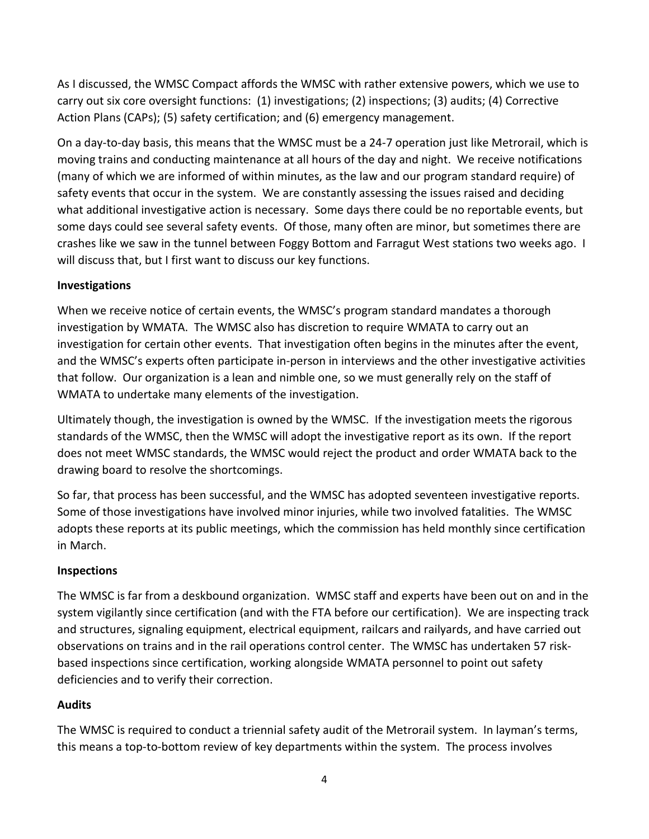As I discussed, the WMSC Compact affords the WMSC with rather extensive powers, which we use to carry out six core oversight functions: (1) investigations; (2) inspections; (3) audits; (4) Corrective Action Plans (CAPs); (5) safety certification; and (6) emergency management.

On a day-to-day basis, this means that the WMSC must be a 24-7 operation just like Metrorail, which is moving trains and conducting maintenance at all hours of the day and night. We receive notifications (many of which we are informed of within minutes, as the law and our program standard require) of safety events that occur in the system. We are constantly assessing the issues raised and deciding what additional investigative action is necessary. Some days there could be no reportable events, but some days could see several safety events. Of those, many often are minor, but sometimes there are crashes like we saw in the tunnel between Foggy Bottom and Farragut West stations two weeks ago. I will discuss that, but I first want to discuss our key functions.

### **Investigations**

When we receive notice of certain events, the WMSC's program standard mandates a thorough investigation by WMATA. The WMSC also has discretion to require WMATA to carry out an investigation for certain other events. That investigation often begins in the minutes after the event, and the WMSC's experts often participate in-person in interviews and the other investigative activities that follow. Our organization is a lean and nimble one, so we must generally rely on the staff of WMATA to undertake many elements of the investigation.

Ultimately though, the investigation is owned by the WMSC. If the investigation meets the rigorous standards of the WMSC, then the WMSC will adopt the investigative report as its own. If the report does not meet WMSC standards, the WMSC would reject the product and order WMATA back to the drawing board to resolve the shortcomings.

So far, that process has been successful, and the WMSC has adopted seventeen investigative reports. Some of those investigations have involved minor injuries, while two involved fatalities. The WMSC adopts these reports at its public meetings, which the commission has held monthly since certification in March.

### **Inspections**

The WMSC is far from a deskbound organization. WMSC staff and experts have been out on and in the system vigilantly since certification (and with the FTA before our certification). We are inspecting track and structures, signaling equipment, electrical equipment, railcars and railyards, and have carried out observations on trains and in the rail operations control center. The WMSC has undertaken 57 riskbased inspections since certification, working alongside WMATA personnel to point out safety deficiencies and to verify their correction.

# **Audits**

The WMSC is required to conduct a triennial safety audit of the Metrorail system. In layman's terms, this means a top-to-bottom review of key departments within the system. The process involves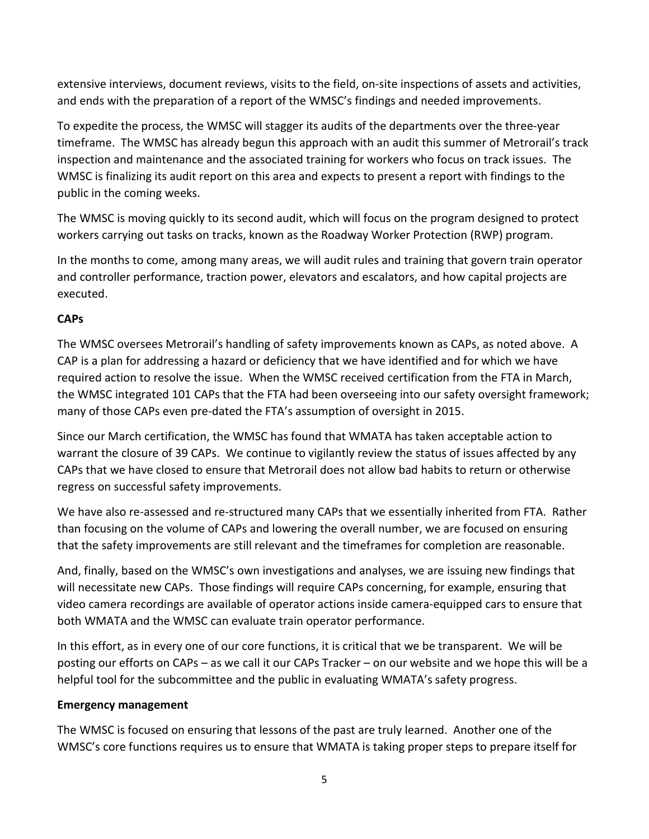extensive interviews, document reviews, visits to the field, on-site inspections of assets and activities, and ends with the preparation of a report of the WMSC's findings and needed improvements.

To expedite the process, the WMSC will stagger its audits of the departments over the three-year timeframe. The WMSC has already begun this approach with an audit this summer of Metrorail's track inspection and maintenance and the associated training for workers who focus on track issues. The WMSC is finalizing its audit report on this area and expects to present a report with findings to the public in the coming weeks.

The WMSC is moving quickly to its second audit, which will focus on the program designed to protect workers carrying out tasks on tracks, known as the Roadway Worker Protection (RWP) program.

In the months to come, among many areas, we will audit rules and training that govern train operator and controller performance, traction power, elevators and escalators, and how capital projects are executed.

## **CAPs**

The WMSC oversees Metrorail's handling of safety improvements known as CAPs, as noted above. A CAP is a plan for addressing a hazard or deficiency that we have identified and for which we have required action to resolve the issue. When the WMSC received certification from the FTA in March, the WMSC integrated 101 CAPs that the FTA had been overseeing into our safety oversight framework; many of those CAPs even pre-dated the FTA's assumption of oversight in 2015.

Since our March certification, the WMSC has found that WMATA has taken acceptable action to warrant the closure of 39 CAPs. We continue to vigilantly review the status of issues affected by any CAPs that we have closed to ensure that Metrorail does not allow bad habits to return or otherwise regress on successful safety improvements.

We have also re-assessed and re-structured many CAPs that we essentially inherited from FTA. Rather than focusing on the volume of CAPs and lowering the overall number, we are focused on ensuring that the safety improvements are still relevant and the timeframes for completion are reasonable.

And, finally, based on the WMSC's own investigations and analyses, we are issuing new findings that will necessitate new CAPs. Those findings will require CAPs concerning, for example, ensuring that video camera recordings are available of operator actions inside camera-equipped cars to ensure that both WMATA and the WMSC can evaluate train operator performance.

In this effort, as in every one of our core functions, it is critical that we be transparent. We will be posting our efforts on CAPs – as we call it our CAPs Tracker – on our website and we hope this will be a helpful tool for the subcommittee and the public in evaluating WMATA's safety progress.

### **Emergency management**

The WMSC is focused on ensuring that lessons of the past are truly learned. Another one of the WMSC's core functions requires us to ensure that WMATA is taking proper steps to prepare itself for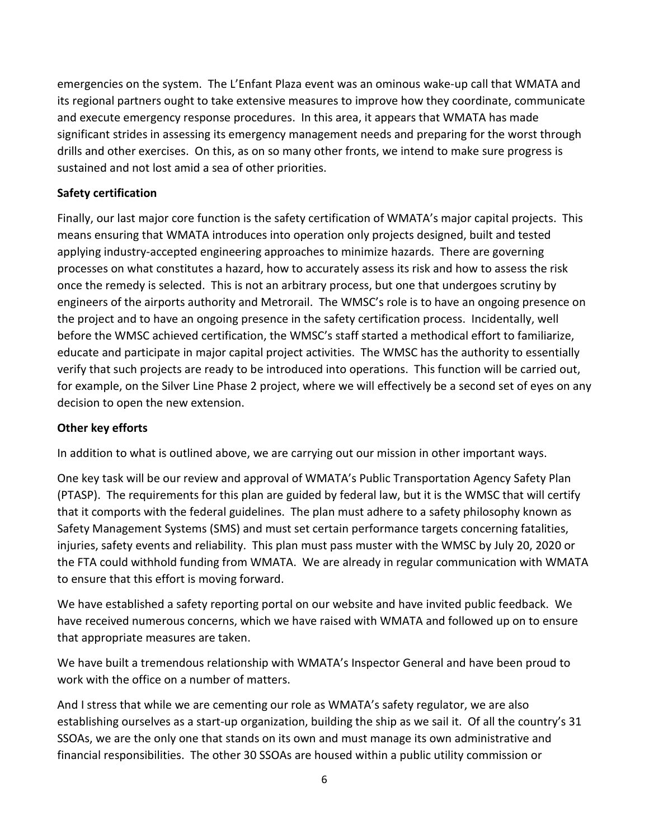emergencies on the system. The L'Enfant Plaza event was an ominous wake-up call that WMATA and its regional partners ought to take extensive measures to improve how they coordinate, communicate and execute emergency response procedures. In this area, it appears that WMATA has made significant strides in assessing its emergency management needs and preparing for the worst through drills and other exercises. On this, as on so many other fronts, we intend to make sure progress is sustained and not lost amid a sea of other priorities.

### **Safety certification**

Finally, our last major core function is the safety certification of WMATA's major capital projects. This means ensuring that WMATA introduces into operation only projects designed, built and tested applying industry-accepted engineering approaches to minimize hazards. There are governing processes on what constitutes a hazard, how to accurately assess its risk and how to assess the risk once the remedy is selected. This is not an arbitrary process, but one that undergoes scrutiny by engineers of the airports authority and Metrorail. The WMSC's role is to have an ongoing presence on the project and to have an ongoing presence in the safety certification process. Incidentally, well before the WMSC achieved certification, the WMSC's staff started a methodical effort to familiarize, educate and participate in major capital project activities. The WMSC has the authority to essentially verify that such projects are ready to be introduced into operations. This function will be carried out, for example, on the Silver Line Phase 2 project, where we will effectively be a second set of eyes on any decision to open the new extension.

### **Other key efforts**

In addition to what is outlined above, we are carrying out our mission in other important ways.

One key task will be our review and approval of WMATA's Public Transportation Agency Safety Plan (PTASP). The requirements for this plan are guided by federal law, but it is the WMSC that will certify that it comports with the federal guidelines. The plan must adhere to a safety philosophy known as Safety Management Systems (SMS) and must set certain performance targets concerning fatalities, injuries, safety events and reliability. This plan must pass muster with the WMSC by July 20, 2020 or the FTA could withhold funding from WMATA. We are already in regular communication with WMATA to ensure that this effort is moving forward.

We have established a safety reporting portal on our website and have invited public feedback. We have received numerous concerns, which we have raised with WMATA and followed up on to ensure that appropriate measures are taken.

We have built a tremendous relationship with WMATA's Inspector General and have been proud to work with the office on a number of matters.

And I stress that while we are cementing our role as WMATA's safety regulator, we are also establishing ourselves as a start-up organization, building the ship as we sail it. Of all the country's 31 SSOAs, we are the only one that stands on its own and must manage its own administrative and financial responsibilities. The other 30 SSOAs are housed within a public utility commission or